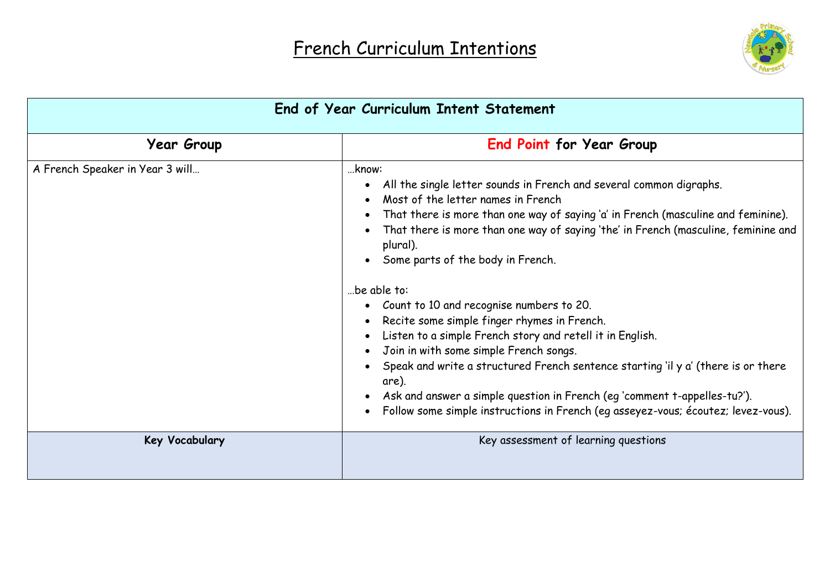

| End of Year Curriculum Intent Statement |                                                                                                                                                                                                                                                                                                                                                                                                                                                                                                                                                                                                                                                                                                                                                                                                                                 |  |
|-----------------------------------------|---------------------------------------------------------------------------------------------------------------------------------------------------------------------------------------------------------------------------------------------------------------------------------------------------------------------------------------------------------------------------------------------------------------------------------------------------------------------------------------------------------------------------------------------------------------------------------------------------------------------------------------------------------------------------------------------------------------------------------------------------------------------------------------------------------------------------------|--|
| <b>Year Group</b>                       | End Point for Year Group                                                                                                                                                                                                                                                                                                                                                                                                                                                                                                                                                                                                                                                                                                                                                                                                        |  |
| A French Speaker in Year 3 will         | know:<br>All the single letter sounds in French and several common digraphs.<br>Most of the letter names in French<br>That there is more than one way of saying 'a' in French (masculine and feminine).<br>That there is more than one way of saying 'the' in French (masculine, feminine and<br>plural).<br>Some parts of the body in French.<br>be able to:<br>Count to 10 and recognise numbers to 20.<br>Recite some simple finger rhymes in French.<br>Listen to a simple French story and retell it in English.<br>Join in with some simple French songs.<br>Speak and write a structured French sentence starting 'il y a' (there is or there<br>are).<br>Ask and answer a simple question in French (eg 'comment t-appelles-tu?').<br>Follow some simple instructions in French (eg asseyez-vous; écoutez; levez-vous). |  |
| Key Vocabulary                          | Key assessment of learning questions                                                                                                                                                                                                                                                                                                                                                                                                                                                                                                                                                                                                                                                                                                                                                                                            |  |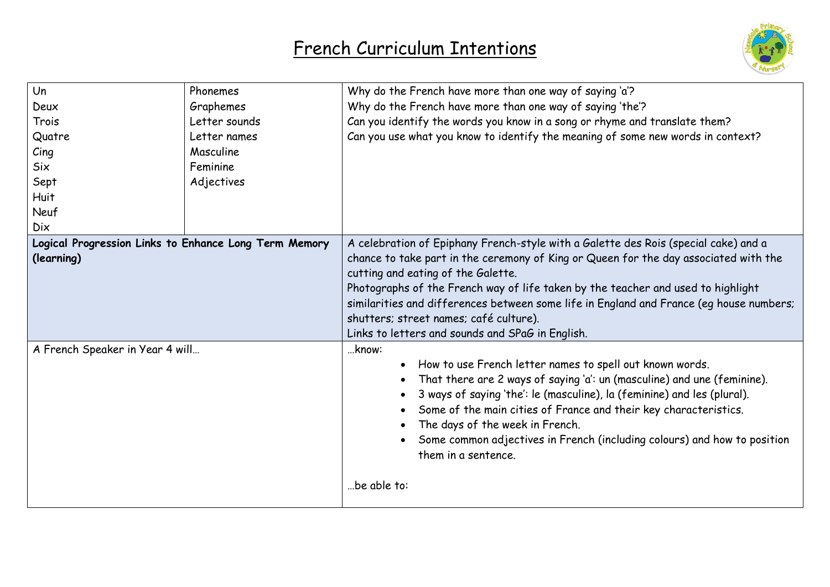

| Un                                                    | Phonemes      | Why do the French have more than one way of saying 'a'?                                 |  |
|-------------------------------------------------------|---------------|-----------------------------------------------------------------------------------------|--|
| Deux                                                  | Graphemes     | Why do the French have more than one way of saying 'the'?                               |  |
| Trois                                                 | Letter sounds | Can you identify the words you know in a song or rhyme and translate them?              |  |
| Quatre                                                | Letter names  | Can you use what you know to identify the meaning of some new words in context?         |  |
| $C$ ing                                               | Masculine     |                                                                                         |  |
| <b>Six</b>                                            | Feminine      |                                                                                         |  |
| Sept                                                  | Adjectives    |                                                                                         |  |
| <b>Huit</b>                                           |               |                                                                                         |  |
| Neuf                                                  |               |                                                                                         |  |
| <b>Dix</b>                                            |               |                                                                                         |  |
| Logical Progression Links to Enhance Long Term Memory |               | A celebration of Epiphany French-style with a Galette des Rois (special cake) and a     |  |
| (learning)                                            |               | chance to take part in the ceremony of King or Queen for the day associated with the    |  |
|                                                       |               | cutting and eating of the Galette.                                                      |  |
|                                                       |               | Photographs of the French way of life taken by the teacher and used to highlight        |  |
|                                                       |               | similarities and differences between some life in England and France (eg house numbers; |  |
|                                                       |               | shutters; street names; café culture).                                                  |  |
|                                                       |               | Links to letters and sounds and SPaG in English.                                        |  |
| A French Speaker in Year 4 will                       |               | know:                                                                                   |  |
|                                                       |               | How to use French letter names to spell out known words.                                |  |
|                                                       |               | That there are 2 ways of saying 'a': un (masculine) and une (feminine).                 |  |
|                                                       |               | 3 ways of saying 'the': le (masculine), la (feminine) and les (plural).                 |  |
|                                                       |               | Some of the main cities of France and their key characteristics.                        |  |
|                                                       |               | The days of the week in French.                                                         |  |
|                                                       |               | Some common adjectives in French (including colours) and how to position                |  |
|                                                       |               | them in a sentence.                                                                     |  |
|                                                       |               |                                                                                         |  |
|                                                       |               | .be able to:                                                                            |  |
|                                                       |               |                                                                                         |  |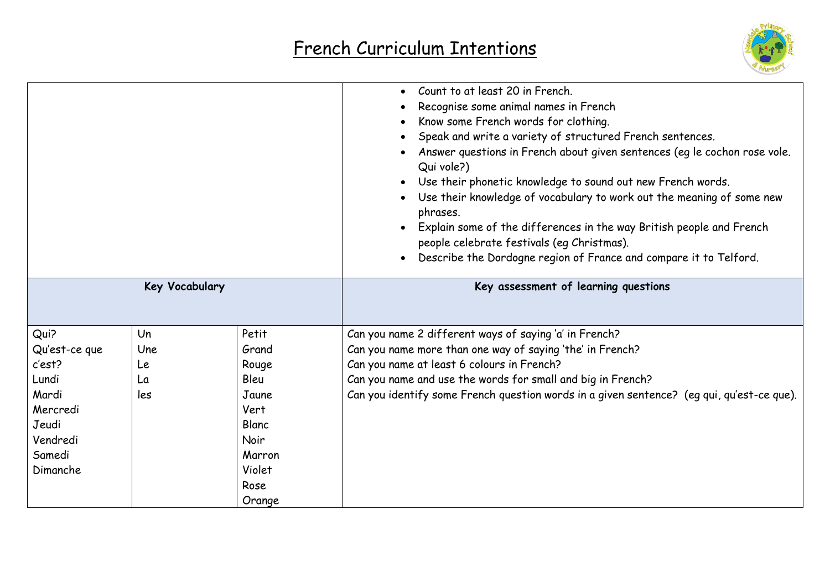

|                |     |        | Count to at least 20 in French.<br>Recognise some animal names in French<br>Know some French words for clothing.<br>Speak and write a variety of structured French sentences.<br>Answer questions in French about given sentences (eg le cochon rose vole.<br>Qui vole?)<br>Use their phonetic knowledge to sound out new French words.<br>Use their knowledge of vocabulary to work out the meaning of some new<br>phrases.<br>Explain some of the differences in the way British people and French<br>people celebrate festivals (eg Christmas).<br>Describe the Dordogne region of France and compare it to Telford. |
|----------------|-----|--------|-------------------------------------------------------------------------------------------------------------------------------------------------------------------------------------------------------------------------------------------------------------------------------------------------------------------------------------------------------------------------------------------------------------------------------------------------------------------------------------------------------------------------------------------------------------------------------------------------------------------------|
| Key Vocabulary |     |        | Key assessment of learning questions                                                                                                                                                                                                                                                                                                                                                                                                                                                                                                                                                                                    |
|                |     |        |                                                                                                                                                                                                                                                                                                                                                                                                                                                                                                                                                                                                                         |
| Qui?           | Un  | Petit  | Can you name 2 different ways of saying 'a' in French?                                                                                                                                                                                                                                                                                                                                                                                                                                                                                                                                                                  |
| Qu'est-ce que  | Une | Grand  | Can you name more than one way of saying 'the' in French?                                                                                                                                                                                                                                                                                                                                                                                                                                                                                                                                                               |
| c'est?         | Le  | Rouge  | Can you name at least 6 colours in French?                                                                                                                                                                                                                                                                                                                                                                                                                                                                                                                                                                              |
| Lundi          | La  | Bleu   | Can you name and use the words for small and big in French?                                                                                                                                                                                                                                                                                                                                                                                                                                                                                                                                                             |
| Mardi          | les | Jaune  | Can you identify some French question words in a given sentence? (eg qui, qu'est-ce que).                                                                                                                                                                                                                                                                                                                                                                                                                                                                                                                               |
| Mercredi       |     | Vert   |                                                                                                                                                                                                                                                                                                                                                                                                                                                                                                                                                                                                                         |
| Jeudi          |     | Blanc  |                                                                                                                                                                                                                                                                                                                                                                                                                                                                                                                                                                                                                         |
| Vendredi       |     | Noir   |                                                                                                                                                                                                                                                                                                                                                                                                                                                                                                                                                                                                                         |
| Samedi         |     | Marron |                                                                                                                                                                                                                                                                                                                                                                                                                                                                                                                                                                                                                         |
| Dimanche       |     | Violet |                                                                                                                                                                                                                                                                                                                                                                                                                                                                                                                                                                                                                         |
|                |     | Rose   |                                                                                                                                                                                                                                                                                                                                                                                                                                                                                                                                                                                                                         |
|                |     | Orange |                                                                                                                                                                                                                                                                                                                                                                                                                                                                                                                                                                                                                         |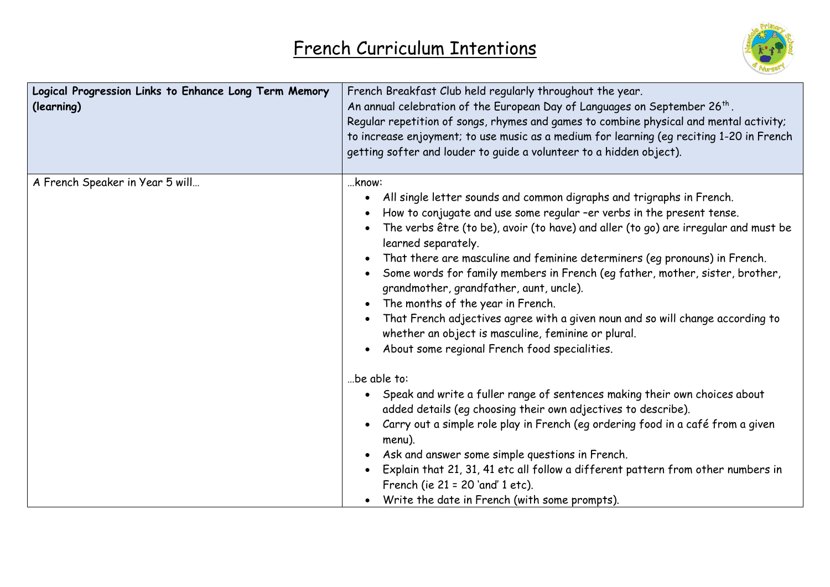

| Logical Progression Links to Enhance Long Term Memory<br>(learning) | French Breakfast Club held regularly throughout the year.<br>An annual celebration of the European Day of Languages on September 26 <sup>th</sup> .<br>Regular repetition of songs, rhymes and games to combine physical and mental activity;<br>to increase enjoyment; to use music as a medium for learning (eg reciting 1-20 in French<br>getting softer and louder to guide a volunteer to a hidden object).                                                                                                                                                                                                                                                                                                |
|---------------------------------------------------------------------|-----------------------------------------------------------------------------------------------------------------------------------------------------------------------------------------------------------------------------------------------------------------------------------------------------------------------------------------------------------------------------------------------------------------------------------------------------------------------------------------------------------------------------------------------------------------------------------------------------------------------------------------------------------------------------------------------------------------|
| A French Speaker in Year 5 will                                     | know:<br>All single letter sounds and common digraphs and trigraphs in French.<br>How to conjugate and use some regular -er verbs in the present tense.<br>The verbs être (to be), avoir (to have) and aller (to go) are irregular and must be<br>learned separately.<br>That there are masculine and feminine determiners (eg pronouns) in French.<br>Some words for family members in French (eg father, mother, sister, brother,<br>grandmother, grandfather, aunt, uncle).<br>The months of the year in French.<br>That French adjectives agree with a given noun and so will change according to<br>whether an object is masculine, feminine or plural.<br>• About some regional French food specialities. |
|                                                                     | be able to:<br>• Speak and write a fuller range of sentences making their own choices about<br>added details (eg choosing their own adjectives to describe).<br>Carry out a simple role play in French (eg ordering food in a café from a given<br>menu).<br>Ask and answer some simple questions in French.<br>Explain that 21, 31, 41 etc all follow a different pattern from other numbers in<br>French (ie 21 = 20 'and' 1 etc).<br>Write the date in French (with some prompts).                                                                                                                                                                                                                           |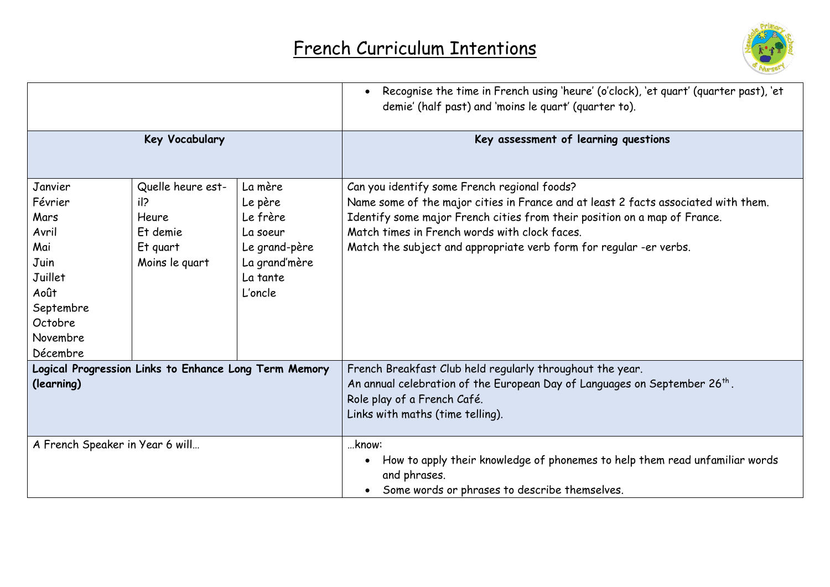

|                                                                                |                            |                                                       | Recognise the time in French using 'heure' (o'clock), 'et quart' (quarter past), 'et<br>$\bullet$<br>demie' (half past) and 'moins le quart' (quarter to).                                                             |
|--------------------------------------------------------------------------------|----------------------------|-------------------------------------------------------|------------------------------------------------------------------------------------------------------------------------------------------------------------------------------------------------------------------------|
| Key Vocabulary                                                                 |                            |                                                       | Key assessment of learning questions                                                                                                                                                                                   |
| Janvier<br>Février                                                             | Quelle heure est-<br>il?   | La mère<br>Le père                                    | Can you identify some French regional foods?<br>Name some of the major cities in France and at least 2 facts associated with them.                                                                                     |
| Mars<br>Avril                                                                  | Heure<br>Et demie          | Le frère<br>La soeur                                  | Identify some major French cities from their position on a map of France.<br>Match times in French words with clock faces.                                                                                             |
| Mai<br>Juin<br>Juillet<br>Août<br>Septembre<br>Octobre<br>Novembre<br>Décembre | Et quart<br>Moins le quart | Le grand-père<br>La grand'mère<br>La tante<br>L'oncle | Match the subject and appropriate verb form for regular -er verbs.                                                                                                                                                     |
| Logical Progression Links to Enhance Long Term Memory<br>(learning)            |                            |                                                       | French Breakfast Club held regularly throughout the year.<br>An annual celebration of the European Day of Languages on September 26 <sup>th</sup> .<br>Role play of a French Café.<br>Links with maths (time telling). |
| A French Speaker in Year 6 will                                                |                            |                                                       | know:<br>How to apply their knowledge of phonemes to help them read unfamiliar words<br>and phrases.<br>Some words or phrases to describe themselves.                                                                  |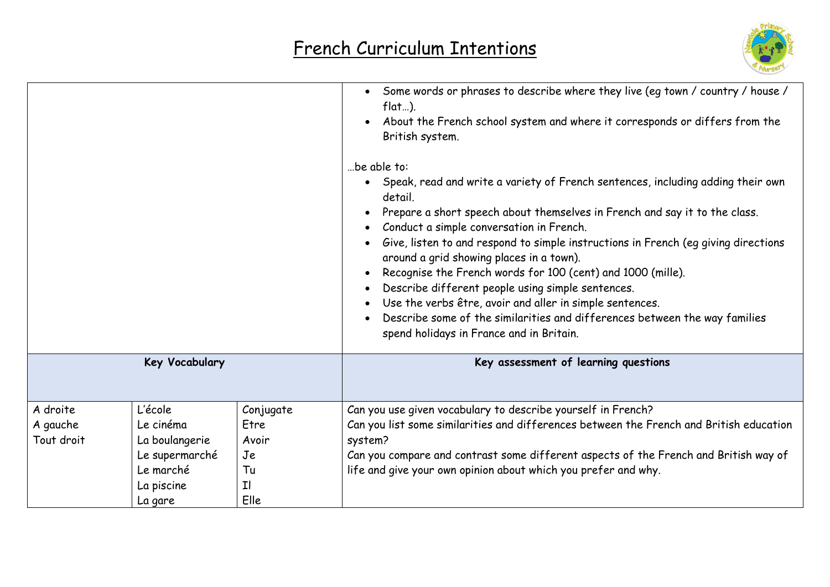

|            |                |           | Some words or phrases to describe where they live (eq town / country / house /<br>$flat$ ).<br>About the French school system and where it corresponds or differs from the<br>British system.<br>be able to:<br>Speak, read and write a variety of French sentences, including adding their own<br>detail.<br>Prepare a short speech about themselves in French and say it to the class.<br>Conduct a simple conversation in French.<br>Give, listen to and respond to simple instructions in French (eg giving directions<br>around a grid showing places in a town).<br>Recognise the French words for 100 (cent) and 1000 (mille).<br>Describe different people using simple sentences.<br>Use the verbs être, avoir and aller in simple sentences.<br>Describe some of the similarities and differences between the way families<br>spend holidays in France and in Britain. |
|------------|----------------|-----------|----------------------------------------------------------------------------------------------------------------------------------------------------------------------------------------------------------------------------------------------------------------------------------------------------------------------------------------------------------------------------------------------------------------------------------------------------------------------------------------------------------------------------------------------------------------------------------------------------------------------------------------------------------------------------------------------------------------------------------------------------------------------------------------------------------------------------------------------------------------------------------|
|            | Key Vocabulary |           | Key assessment of learning questions                                                                                                                                                                                                                                                                                                                                                                                                                                                                                                                                                                                                                                                                                                                                                                                                                                             |
| A droite   | L'école        | Conjugate | Can you use given vocabulary to describe yourself in French?                                                                                                                                                                                                                                                                                                                                                                                                                                                                                                                                                                                                                                                                                                                                                                                                                     |
| A gauche   | Le cinéma      | Etre      | Can you list some similarities and differences between the French and British education                                                                                                                                                                                                                                                                                                                                                                                                                                                                                                                                                                                                                                                                                                                                                                                          |
| Tout droit | La boulangerie | Avoir     | system?                                                                                                                                                                                                                                                                                                                                                                                                                                                                                                                                                                                                                                                                                                                                                                                                                                                                          |
|            | Le supermarché | Je        | Can you compare and contrast some different aspects of the French and British way of                                                                                                                                                                                                                                                                                                                                                                                                                                                                                                                                                                                                                                                                                                                                                                                             |
|            | Le marché      | Tu        | life and give your own opinion about which you prefer and why.                                                                                                                                                                                                                                                                                                                                                                                                                                                                                                                                                                                                                                                                                                                                                                                                                   |
|            | La piscine     | I         |                                                                                                                                                                                                                                                                                                                                                                                                                                                                                                                                                                                                                                                                                                                                                                                                                                                                                  |
|            | La gare        | Elle      |                                                                                                                                                                                                                                                                                                                                                                                                                                                                                                                                                                                                                                                                                                                                                                                                                                                                                  |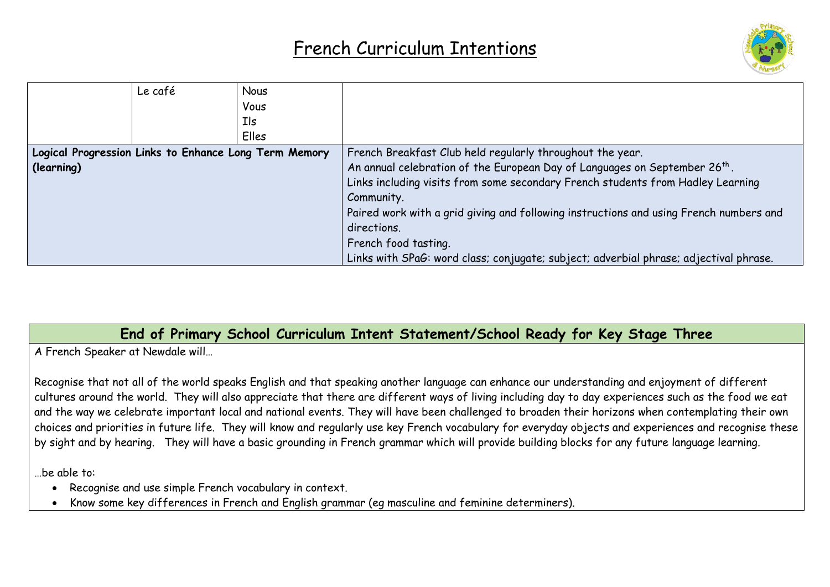

|                                                       | Le café | <b>Nous</b> |                                                                                        |
|-------------------------------------------------------|---------|-------------|----------------------------------------------------------------------------------------|
|                                                       |         | Vous        |                                                                                        |
|                                                       |         | Ils         |                                                                                        |
|                                                       |         | Elles       |                                                                                        |
| Logical Progression Links to Enhance Long Term Memory |         |             | French Breakfast Club held regularly throughout the year.                              |
| (learning)                                            |         |             | An annual celebration of the European Day of Languages on September 26 <sup>th</sup> . |
|                                                       |         |             | Links including visits from some secondary French students from Hadley Learning        |
|                                                       |         |             | Community.                                                                             |
|                                                       |         |             | Paired work with a grid giving and following instructions and using French numbers and |
|                                                       |         |             | directions.                                                                            |
|                                                       |         |             | French food tasting.                                                                   |
|                                                       |         |             | Links with SPaG: word class; conjugate; subject; adverbial phrase; adjectival phrase.  |

#### **End of Primary School Curriculum Intent Statement/School Ready for Key Stage Three**

A French Speaker at Newdale will…

Recognise that not all of the world speaks English and that speaking another language can enhance our understanding and enjoyment of different cultures around the world. They will also appreciate that there are different ways of living including day to day experiences such as the food we eat and the way we celebrate important local and national events. They will have been challenged to broaden their horizons when contemplating their own choices and priorities in future life. They will know and regularly use key French vocabulary for everyday objects and experiences and recognise these by sight and by hearing. They will have a basic grounding in French grammar which will provide building blocks for any future language learning.

…be able to:

- Recognise and use simple French vocabulary in context.
- Know some key differences in French and English grammar (eg masculine and feminine determiners).